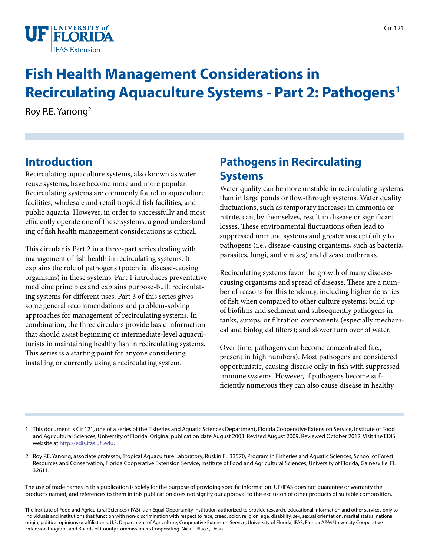

# **Fish Health Management Considerations in Recirculating Aquaculture Systems - Part 2: Pathogens1**

Roy P.E. Yanong2

# **Introduction**

Recirculating aquaculture systems, also known as water reuse systems, have become more and more popular. Recirculating systems are commonly found in aquaculture facilities, wholesale and retail tropical fish facilities, and public aquaria. However, in order to successfully and most efficiently operate one of these systems, a good understanding of fish health management considerations is critical.

This circular is Part 2 in a three-part series dealing with management of fish health in recirculating systems. It explains the role of pathogens (potential disease-causing organisms) in these systems. Part 1 introduces preventative medicine principles and explains purpose-built recirculating systems for different uses. Part 3 of this series gives some general recommendations and problem-solving approaches for management of recirculating systems. In combination, the three circulars provide basic information that should assist beginning or intermediate-level aquaculturists in maintaining healthy fish in recirculating systems. This series is a starting point for anyone considering installing or currently using a recirculating system.

# **Pathogens in Recirculating Systems**

Water quality can be more unstable in recirculating systems than in large ponds or flow-through systems. Water quality fluctuations, such as temporary increases in ammonia or nitrite, can, by themselves, result in disease or significant losses. These environmental fluctuations often lead to suppressed immune systems and greater susceptibility to pathogens (i.e., disease-causing organisms, such as bacteria, parasites, fungi, and viruses) and disease outbreaks.

Recirculating systems favor the growth of many diseasecausing organisms and spread of disease. There are a number of reasons for this tendency, including higher densities of fish when compared to other culture systems; build up of biofilms and sediment and subsequently pathogens in tanks, sumps, or filtration components (especially mechanical and biological filters); and slower turn over of water.

Over time, pathogens can become concentrated (i.e., present in high numbers). Most pathogens are considered opportunistic, causing disease only in fish with suppressed immune systems. However, if pathogens become sufficiently numerous they can also cause disease in healthy

- 1. This document is Cir 121, one of a series of the Fisheries and Aquatic Sciences Department, Florida Cooperative Extension Service, Institute of Food and Agricultural Sciences, University of Florida. Original publication date August 2003. Revised August 2009. Reviewed October 2012. Visit the EDIS website at [http://edis.ifas.ufl.edu.](http://edis.ifas.ufl.edu)
- 2. Roy P.E. Yanong, associate professor, Tropical Aquaculture Laboratory, Ruskin FL 33570, Program in Fisheries and Aquatic Sciences, School of Forest Resources and Conservation, Florida Cooperative Extension Service, Institute of Food and Agricultural Sciences, University of Florida, Gainesville, FL 32611.

The use of trade names in this publication is solely for the purpose of providing specific information. UF/IFAS does not guarantee or warranty the products named, and references to them in this publication does not signify our approval to the exclusion of other products of suitable composition.

The Institute of Food and Agricultural Sciences (IFAS) is an Equal Opportunity Institution authorized to provide research, educational information and other services only to individuals and institutions that function with non-discrimination with respect to race, creed, color, religion, age, disability, sex, sexual orientation, marital status, national origin, political opinions or affiliations. U.S. Department of Agriculture, Cooperative Extension Service, University of Florida, IFAS, Florida A&M University Cooperative Extension Program, and Boards of County Commissioners Cooperating. Nick T. Place , Dean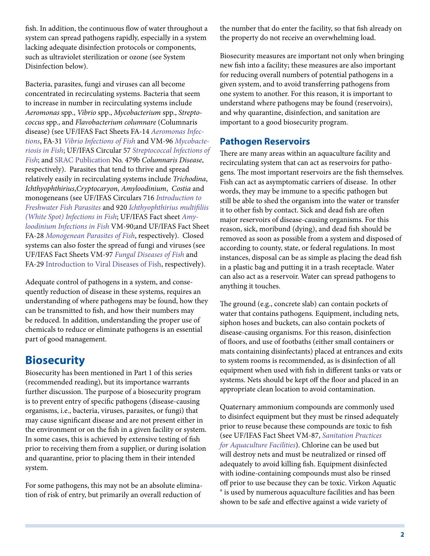fish. In addition, the continuous flow of water throughout a system can spread pathogens rapidly, especially in a system lacking adequate disinfection protocols or components, such as ultraviolet sterilization or ozone (see System Disinfection below).

Bacteria, parasites, fungi and viruses can all become concentrated in recirculating systems. Bacteria that seem to increase in number in recirculating systems include *Aeromonas* spp., *Vibrio* spp., *Mycobacterium* spp., *Streptococcus* spp., and *Flavobacterium columnare* (Columnaris disease) (see UF/IFAS Fact Sheets FA-14 *[Aeromonas Infec](FA042)[tions](FA042)*, FA-31 *[Vibrio Infections of Fish](FA036)* and VM-96 *[Mycobacte](VM055)[riosis in Fish](VM055)*; UF/IFAS Circular 57 *[Streptococcal Infections of](FA057)  [Fish](FA057)*; and [SRAC Publication](https://srac.tamu.edu/index.cfm/event/viewAllSheets/) No. 479b *Columnaris Disease*, respectively). Parasites that tend to thrive and spread relatively easily in recirculating systems include *Trichodina*, *Ichthyophthirius*,*Cryptocaryon*, *Amyloodinium*, *Costia* and monogeneans (see UF/IFAS Circulars 716 *[Introduction to](FA041)  [Freshwater Fish Parasites](FA041)* and 920 *[Ichthyophthirius multifiliis](FA006)  [\(White Spot\) Infections in Fish](FA006)*; UF/IFAS Fact sheet *[Amy](VM004)[loodinium Infections in Fish](VM004)* VM-90;and UF/IFAS Fact Sheet FA-28 *[Monogenean Parasites of Fish](FA033)*, respectively). Closed systems can also foster the spread of fungi and viruses (see UF/IFAS Fact Sheets VM-97 *[Fungal Diseases of Fish](VM033)* and FA-29 [Introduction to Viral Diseases of Fish,](FA034) respectively).

Adequate control of pathogens in a system, and consequently reduction of disease in these systems, requires an understanding of where pathogens may be found, how they can be transmitted to fish, and how their numbers may be reduced. In addition, understanding the proper use of chemicals to reduce or eliminate pathogens is an essential part of good management.

### **Biosecurity**

Biosecurity has been mentioned in Part 1 of this series (recommended reading), but its importance warrants further discussion. The purpose of a biosecurity program is to prevent entry of specific pathogens (disease-causing organisms, i.e., bacteria, viruses, parasites, or fungi) that may cause significant disease and are not present either in the environment or on the fish in a given facility or system. In some cases, this is achieved by extensive testing of fish prior to receiving them from a supplier, or during isolation and quarantine, prior to placing them in their intended system.

For some pathogens, this may not be an absolute elimination of risk of entry, but primarily an overall reduction of

the number that do enter the facility, so that fish already on the property do not receive an overwhelming load.

Biosecurity measures are important not only when bringing new fish into a facility; these measures are also important for reducing overall numbers of potential pathogens in a given system, and to avoid transferring pathogens from one system to another. For this reason, it is important to understand where pathogens may be found (reservoirs), and why quarantine, disinfection, and sanitation are important to a good biosecurity program.

### **Pathogen Reservoirs**

There are many areas within an aquaculture facility and recirculating system that can act as reservoirs for pathogens. The most important reservoirs are the fish themselves. Fish can act as asymptomatic carriers of disease. In other words, they may be immune to a specific pathogen but still be able to shed the organism into the water or transfer it to other fish by contact. Sick and dead fish are often major reservoirs of disease-causing organisms. For this reason, sick, moribund (dying), and dead fish should be removed as soon as possible from a system and disposed of according to county, state, or federal regulations. In most instances, disposal can be as simple as placing the dead fish in a plastic bag and putting it in a trash receptacle. Water can also act as a reservoir. Water can spread pathogens to anything it touches.

The ground (e.g., concrete slab) can contain pockets of water that contains pathogens. Equipment, including nets, siphon hoses and buckets, can also contain pockets of disease-causing organisms. For this reason, disinfection of floors, and use of footbaths (either small containers or mats containing disinfectants) placed at entrances and exits to system rooms is recommended, as is disinfection of all equipment when used with fish in different tanks or vats or systems. Nets should be kept off the floor and placed in an appropriate clean location to avoid contamination.

Quaternary ammonium compounds are commonly used to disinfect equipment but they must be rinsed adequately prior to reuse because these compounds are toxic to fish (see UF/IFAS Fact Sheet VM-87, *[Sanitation Practices](AE080)  [for Aquaculture Facilities](AE080)*). Chlorine can be used but will destroy nets and must be neutralized or rinsed off adequately to avoid killing fish. Equipment disinfected with iodine-containing compounds must also be rinsed off prior to use because they can be toxic. Virkon Aquatic ® is used by numerous aquaculture facilities and has been shown to be safe and effective against a wide variety of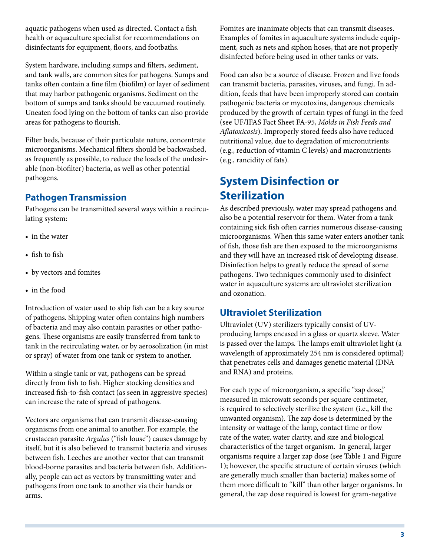aquatic pathogens when used as directed. Contact a fish health or aquaculture specialist for recommendations on disinfectants for equipment, floors, and footbaths.

System hardware, including sumps and filters, sediment, and tank walls, are common sites for pathogens. Sumps and tanks often contain a fine film (biofilm) or layer of sediment that may harbor pathogenic organisms. Sediment on the bottom of sumps and tanks should be vacuumed routinely. Uneaten food lying on the bottom of tanks can also provide areas for pathogens to flourish.

Filter beds, because of their particulate nature, concentrate microorganisms. Mechanical filters should be backwashed, as frequently as possible, to reduce the loads of the undesirable (non-biofilter) bacteria, as well as other potential pathogens.

### **Pathogen Transmission**

Pathogens can be transmitted several ways within a recirculating system:

- in the water
- fish to fish
- by vectors and fomites
- in the food

Introduction of water used to ship fish can be a key source of pathogens. Shipping water often contains high numbers of bacteria and may also contain parasites or other pathogens. These organisms are easily transferred from tank to tank in the recirculating water, or by aerosolization (in mist or spray) of water from one tank or system to another.

Within a single tank or vat, pathogens can be spread directly from fish to fish. Higher stocking densities and increased fish-to-fish contact (as seen in aggressive species) can increase the rate of spread of pathogens.

Vectors are organisms that can transmit disease-causing organisms from one animal to another. For example, the crustacean parasite *Argulus* ("fish louse") causes damage by itself, but it is also believed to transmit bacteria and viruses between fish. Leeches are another vector that can transmit blood-borne parasites and bacteria between fish. Additionally, people can act as vectors by transmitting water and pathogens from one tank to another via their hands or arms.

Fomites are inanimate objects that can transmit diseases. Examples of fomites in aquaculture systems include equipment, such as nets and siphon hoses, that are not properly disinfected before being used in other tanks or vats.

Food can also be a source of disease. Frozen and live foods can transmit bacteria, parasites, viruses, and fungi. In addition, feeds that have been improperly stored can contain pathogenic bacteria or mycotoxins, dangerous chemicals produced by the growth of certain types of fungi in the feed (see UF/IFAS Fact Sheet FA-95, *Molds in Fish Feeds and Aflatoxicosis*). Improperly stored feeds also have reduced nutritional value, due to degradation of micronutrients (e.g., reduction of vitamin C levels) and macronutrients (e.g., rancidity of fats).

# **System Disinfection or Sterilization**

As described previously, water may spread pathogens and also be a potential reservoir for them. Water from a tank containing sick fish often carries numerous disease-causing microorganisms. When this same water enters another tank of fish, those fish are then exposed to the microorganisms and they will have an increased risk of developing disease. Disinfection helps to greatly reduce the spread of some pathogens. Two techniques commonly used to disinfect water in aquaculture systems are ultraviolet sterilization and ozonation.

### **Ultraviolet Sterilization**

Ultraviolet (UV) sterilizers typically consist of UVproducing lamps encased in a glass or quartz sleeve. Water is passed over the lamps. The lamps emit ultraviolet light (a wavelength of approximately 254 nm is considered optimal) that penetrates cells and damages genetic material (DNA and RNA) and proteins.

For each type of microorganism, a specific "zap dose," measured in microwatt seconds per square centimeter, is required to selectively sterilize the system (i.e., kill the unwanted organism). The zap dose is determined by the intensity or wattage of the lamp, contact time or flow rate of the water, water clarity, and size and biological characteristics of the target organism. In general, larger organisms require a larger zap dose (see Table 1 and Figure 1); however, the specific structure of certain viruses (which are generally much smaller than bacteria) makes some of them more difficult to "kill" than other larger organisms. In general, the zap dose required is lowest for gram-negative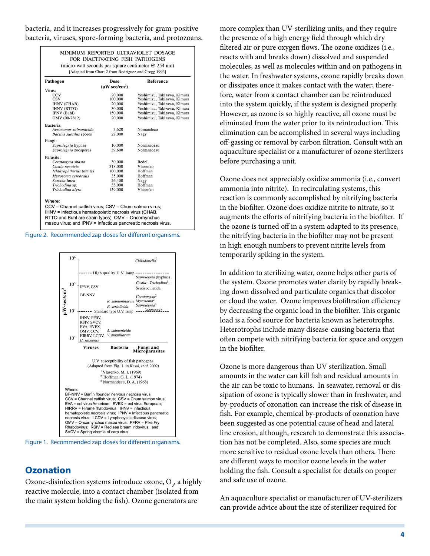bacteria, and it increases progressively for gram-positive bacteria, viruses, spore-forming bacteria, and protozoans.

| Pathogen                 | Dose                | <b>Reference</b>            |
|--------------------------|---------------------|-----------------------------|
| Virus:                   | $(\mu W \sec/cm^2)$ |                             |
| CCV                      | 20,000              | Yoshimizu, Takizawa, Kimura |
| <b>CSV</b>               | 100,000             | Yoshimizu, Takizawa, Kimura |
| <b>IHNV (CHAB)</b>       | 20,000              | Yoshimizu, Takizawa, Kimura |
| <b>IHNV (RTTO)</b>       | 30,000              | Yoshimizu, Takizawa, Kimura |
| IPNV (Buhl)              | 150,000             | Yoshimizu, Takizawa, Kimura |
| OMV (00-7812)            | 20,000              | Yoshimizu, Takizawa, Kimura |
| Bacteria:                |                     |                             |
| Aeromonas salmonicida    | 3,620               | Nomandeau                   |
| Bacilus subtilus spores  | 22,000              | Nagy                        |
| Fungi:                   |                     |                             |
| Saprolegnia hyphae       | 10,000              | Normandeau                  |
| Saprolegnia zoospores    | 39,600              | Normandeau                  |
| Parasite:                |                     |                             |
| Ceratomyxa shasta        | 30,000              | Bedell                      |
| Costia necatrix          | 318,000             | Vlasenko                    |
| Ichthyophthirius tomites | 100,000             | Hoffman                     |
| Myxosoma cerebralis      | 35,000              | Hoffman                     |
| Sarcina lutea            | 26,400              | Nagy                        |
| Trichodina sp.           | 35,000              | Hoffman                     |
| Trichodina nigra         | 159,000             | Vlasenko                    |





Figure 1. Recommended zap doses for different organisms.

#### **Ozonation**

Ozone-disinfection systems introduce ozone,  $O_3$ , a highly reactive molecule, into a contact chamber (isolated from the main system holding the fish). Ozone generators are

more complex than UV-sterilizing units, and they require the presence of a high energy field through which dry filtered air or pure oxygen flows. The ozone oxidizes (i.e., reacts with and breaks down) dissolved and suspended molecules, as well as molecules within and on pathogens in the water. In freshwater systems, ozone rapidly breaks down or dissipates once it makes contact with the water; therefore, water from a contact chamber can be reintroduced into the system quickly, if the system is designed properly. However, as ozone is so highly reactive, all ozone must be eliminated from the water prior to its reintroduction. This elimination can be accomplished in several ways including off-gassing or removal by carbon filtration. Consult with an aquaculture specialist or a manufacturer of ozone sterilizers before purchasing a unit.

Ozone does not appreciably oxidize ammonia (i.e., convert ammonia into nitrite). In recirculating systems, this reaction is commonly accomplished by nitrifying bacteria in the biofilter. Ozone does oxidize nitrite to nitrate, so it augments the efforts of nitrifying bacteria in the biofilter. If the ozone is turned off in a system adapted to its presence, the nitrifying bacteria in the biofilter may not be present in high enough numbers to prevent nitrite levels from temporarily spiking in the system.

In addition to sterilizing water, ozone helps other parts of the system. Ozone promotes water clarity by rapidly breaking down dissolved and particulate organics that discolor or cloud the water. Ozone improves biofiltration efficiency by decreasing the organic load in the biofilter. This organic load is a food source for bacteria known as heterotrophs. Heterotrophs include many disease-causing bacteria that often compete with nitrifying bacteria for space and oxygen in the biofilter.

Ozone is more dangerous than UV sterilization. Small amounts in the water can kill fish and residual amounts in the air can be toxic to humans. In seawater, removal or dissipation of ozone is typically slower than in freshwater, and by-products of ozonation can increase the risk of disease in fish. For example, chemical by-products of ozonation have been suggested as one potential cause of head and lateral line erosion, although, research to demonstrate this association has not be completed. Also, some species are much more sensitive to residual ozone levels than others. There are different ways to monitor ozone levels in the water holding the fish. Consult a specialist for details on proper and safe use of ozone.

An aquaculture specialist or manufacturer of UV-sterilizers can provide advice about the size of sterilizer required for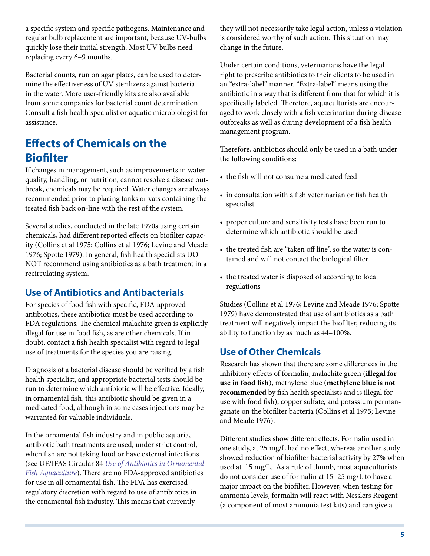a specific system and specific pathogens. Maintenance and regular bulb replacement are important, because UV-bulbs quickly lose their initial strength. Most UV bulbs need replacing every 6–9 months.

Bacterial counts, run on agar plates, can be used to determine the effectiveness of UV sterilizers against bacteria in the water. More user-friendly kits are also available from some companies for bacterial count determination. Consult a fish health specialist or aquatic microbiologist for assistance.

# **Effects of Chemicals on the Biofilter**

If changes in management, such as improvements in water quality, handling, or nutrition, cannot resolve a disease outbreak, chemicals may be required. Water changes are always recommended prior to placing tanks or vats containing the treated fish back on-line with the rest of the system.

Several studies, conducted in the late 1970s using certain chemicals, had different reported effects on biofilter capacity (Collins et al 1975; Collins et al 1976; Levine and Meade 1976; Spotte 1979). In general, fish health specialists DO NOT recommend using antibiotics as a bath treatment in a recirculating system.

### **Use of Antibiotics and Antibacterials**

For species of food fish with specific, FDA-approved antibiotics, these antibiotics must be used according to FDA regulations. The chemical malachite green is explicitly illegal for use in food fish, as are other chemicals. If in doubt, contact a fish health specialist with regard to legal use of treatments for the species you are raising.

Diagnosis of a bacterial disease should be verified by a fish health specialist, and appropriate bacterial tests should be run to determine which antibiotic will be effective. Ideally, in ornamental fish, this antibiotic should be given in a medicated food, although in some cases injections may be warranted for valuable individuals.

In the ornamental fish industry and in public aquaria, antibiotic bath treatments are used, under strict control, when fish are not taking food or have external infections (see UF/IFAS Circular 84 *[Use of Antibiotics in Ornamental](FA084)  [Fish Aquaculture](FA084)*). There are no FDA-approved antibiotics for use in all ornamental fish. The FDA has exercised regulatory discretion with regard to use of antibiotics in the ornamental fish industry. This means that currently

they will not necessarily take legal action, unless a violation is considered worthy of such action. This situation may change in the future.

Under certain conditions, veterinarians have the legal right to prescribe antibiotics to their clients to be used in an "extra-label" manner. "Extra-label" means using the antibiotic in a way that is different from that for which it is specifically labeled. Therefore, aquaculturists are encouraged to work closely with a fish veterinarian during disease outbreaks as well as during development of a fish health management program.

Therefore, antibiotics should only be used in a bath under the following conditions:

- the fish will not consume a medicated feed
- in consultation with a fish veterinarian or fish health specialist
- proper culture and sensitivity tests have been run to determine which antibiotic should be used
- the treated fish are "taken off line", so the water is contained and will not contact the biological filter
- the treated water is disposed of according to local regulations

Studies (Collins et al 1976; Levine and Meade 1976; Spotte 1979) have demonstrated that use of antibiotics as a bath treatment will negatively impact the biofilter, reducing its ability to function by as much as 44–100%.

### **Use of Other Chemicals**

Research has shown that there are some differences in the inhibitory effects of formalin, malachite green (**illegal for use in food fish**), methylene blue (**methylene blue is not recommended** by fish health specialists and is illegal for use with food fish), copper sulfate, and potassium permanganate on the biofilter bacteria (Collins et al 1975; Levine and Meade 1976).

Different studies show different effects. Formalin used in one study, at 25 mg/L had no effect, whereas another study showed reduction of biofilter bacterial activity by 27% when used at 15 mg/L. As a rule of thumb, most aquaculturists do not consider use of formalin at 15–25 mg/L to have a major impact on the biofilter. However, when testing for ammonia levels, formalin will react with Nesslers Reagent (a component of most ammonia test kits) and can give a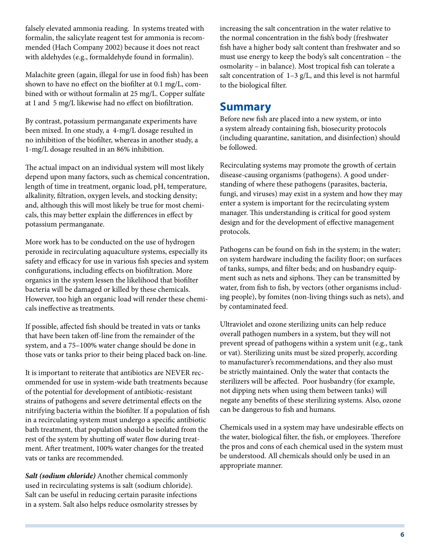falsely elevated ammonia reading. In systems treated with formalin, the salicylate reagent test for ammonia is recommended (Hach Company 2002) because it does not react with aldehydes (e.g., formaldehyde found in formalin).

Malachite green (again, illegal for use in food fish) has been shown to have no effect on the biofilter at 0.1 mg/L, combined with or without formalin at 25 mg/L. Copper sulfate at 1 and 5 mg/L likewise had no effect on biofiltration.

By contrast, potassium permanganate experiments have been mixed. In one study, a 4-mg/L dosage resulted in no inhibition of the biofilter, whereas in another study, a 1-mg/L dosage resulted in an 86% inhibition.

The actual impact on an individual system will most likely depend upon many factors, such as chemical concentration, length of time in treatment, organic load, pH, temperature, alkalinity, filtration, oxygen levels, and stocking density; and, although this will most likely be true for most chemicals, this may better explain the differences in effect by potassium permanganate.

More work has to be conducted on the use of hydrogen peroxide in recirculating aquaculture systems, especially its safety and efficacy for use in various fish species and system configurations, including effects on biofiltration. More organics in the system lessen the likelihood that biofilter bacteria will be damaged or killed by these chemicals. However, too high an organic load will render these chemicals ineffective as treatments.

If possible, affected fish should be treated in vats or tanks that have been taken off-line from the remainder of the system, and a 75–100% water change should be done in those vats or tanks prior to their being placed back on-line.

It is important to reiterate that antibiotics are NEVER recommended for use in system-wide bath treatments because of the potential for development of antibiotic-resistant strains of pathogens and severe detrimental effects on the nitrifying bacteria within the biofilter. If a population of fish in a recirculating system must undergo a specific antibiotic bath treatment, that population should be isolated from the rest of the system by shutting off water flow during treatment. After treatment, 100% water changes for the treated vats or tanks are recommended.

*Salt (sodium chloride)* Another chemical commonly used in recirculating systems is salt (sodium chloride). Salt can be useful in reducing certain parasite infections in a system. Salt also helps reduce osmolarity stresses by increasing the salt concentration in the water relative to the normal concentration in the fish's body (freshwater fish have a higher body salt content than freshwater and so must use energy to keep the body's salt concentration – the osmolarity – in balance). Most tropical fish can tolerate a salt concentration of  $1-3$  g/L, and this level is not harmful to the biological filter.

### **Summary**

Before new fish are placed into a new system, or into a system already containing fish, biosecurity protocols (including quarantine, sanitation, and disinfection) should be followed.

Recirculating systems may promote the growth of certain disease-causing organisms (pathogens). A good understanding of where these pathogens (parasites, bacteria, fungi, and viruses) may exist in a system and how they may enter a system is important for the recirculating system manager. This understanding is critical for good system design and for the development of effective management protocols.

Pathogens can be found on fish in the system; in the water; on system hardware including the facility floor; on surfaces of tanks, sumps, and filter beds; and on husbandry equipment such as nets and siphons. They can be transmitted by water, from fish to fish, by vectors (other organisms including people), by fomites (non-living things such as nets), and by contaminated feed.

Ultraviolet and ozone sterilizing units can help reduce overall pathogen numbers in a system, but they will not prevent spread of pathogens within a system unit (e.g., tank or vat). Sterilizing units must be sized properly, according to manufacturer's recommendations, and they also must be strictly maintained. Only the water that contacts the sterilizers will be affected. Poor husbandry (for example, not dipping nets when using them between tanks) will negate any benefits of these sterilizing systems. Also, ozone can be dangerous to fish and humans.

Chemicals used in a system may have undesirable effects on the water, biological filter, the fish, or employees. Therefore the pros and cons of each chemical used in the system must be understood. All chemicals should only be used in an appropriate manner.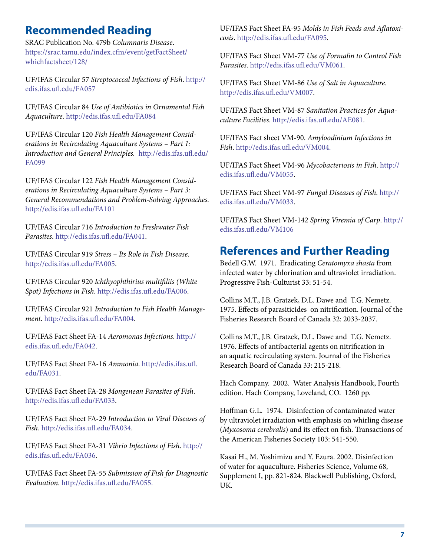# **Recommended Reading**

SRAC Publication No. 479b *Columnaris Disease*. [https://srac.tamu.edu/index.cfm/event/getFactSheet/](https://srac.tamu.edu/index.cfm/event/getFactSheet/whichfactsheet/128/) [whichfactsheet/128/](https://srac.tamu.edu/index.cfm/event/getFactSheet/whichfactsheet/128/)

UF/IFAS Circular 57 *Streptococcal Infections of Fish*. [http://](http://edis.ifas.ufl.edu/FA057) [edis.ifas.ufl.edu/FA057](http://edis.ifas.ufl.edu/FA057)

UF/IFAS Circular 84 *Use of Antibiotics in Ornamental Fish Aquaculture*.<http://edis.ifas.ufl.edu/FA084>

UF/IFAS Circular 120 *Fish Health Management Considerations in Recirculating Aquaculture Systems – Part 1: Introduction and General Principles.* [http://edis.ifas.ufl.edu/](http://edis.ifas.ufl.edu/FA101) [FA099](http://edis.ifas.ufl.edu/FA101)

UF/IFAS Circular 122 *Fish Health Management Considerations in Recirculating Aquaculture Systems – Part 3: General Recommendations and Problem-Solving Approaches.* <http://edis.ifas.ufl.edu/FA101>

UF/IFAS Circular 716 *Introduction to Freshwater Fish Parasites*. [http://edis.ifas.ufl.edu/FA041.](http://edis.ifas.ufl.edu/FA041)

UF/IFAS Circular 919 *Stress – Its Role in Fish Disease*. [http://edis.ifas.ufl.edu/FA005.](http://edis.ifas.ufl.edu/FA005)

UF/IFAS Circular 920 *Ichthyophthirius multifiliis (White Spot) Infections in Fish*. [http://edis.ifas.ufl.edu/FA006.](http://edis.ifas.ufl.edu/FA006)

UF/IFAS Circular 921 *Introduction to Fish Health Management*. [http://edis.ifas.ufl.edu/FA004.](http://edis.ifas.ufl.edu/FA004)

UF/IFAS Fact Sheet FA-14 *Aeromonas Infections*. [http://](http://edis.ifas.ufl.edu/FA042) [edis.ifas.ufl.edu/FA042.](http://edis.ifas.ufl.edu/FA042)

UF/IFAS Fact Sheet FA-16 *Ammonia*. [http://edis.ifas.ufl.](http://edis.ifas.ufl.edu/FA031) [edu/FA031](http://edis.ifas.ufl.edu/FA031).

UF/IFAS Fact Sheet FA-28 *Mongenean Parasites of Fish*. [http://edis.ifas.ufl.edu/FA033.](http://edis.ifas.ufl.edu/FA033)

UF/IFAS Fact Sheet FA-29 *Introduction to Viral Diseases of Fish*. [http://edis.ifas.ufl.edu/FA034.](http://edis.ifas.ufl.edu/FA034)

UF/IFAS Fact Sheet FA-31 *Vibrio Infections of Fish*. [http://](http://edis.ifas.ufl.edu/FA036) [edis.ifas.ufl.edu/FA036.](http://edis.ifas.ufl.edu/FA036)

UF/IFAS Fact Sheet FA-55 *Submission of Fish for Diagnostic Evaluation*. [http://edis.ifas.ufl.edu/FA055.](http://edis.ifas.ufl.edu/FA055)

UF/IFAS Fact Sheet FA-95 *Molds in Fish Feeds and Aflatoxicosis*. <http://edis.ifas.ufl.edu/FA095>.

UF/IFAS Fact Sheet VM-77 *Use of Formalin to Control Fish Parasites*. [http://edis.ifas.ufl.edu/VM061.](http://edis.ifas.ufl.edu/VM061)

UF/IFAS Fact Sheet VM-86 *Use of Salt in Aquaculture*. [http://edis.ifas.ufl.edu/VM007.](http://edis.ifas.ufl.edu/VM007)

UF/IFAS Fact Sheet VM-87 *Sanitation Practices for Aquaculture Facilities*.<http://edis.ifas.ufl.edu/AE081>.

UF/IFAS Fact sheet VM-90. *Amyloodinium Infections in Fish*. [http://edis.ifas.ufl.edu/VM004.](VM004)

UF/IFAS Fact Sheet VM-96 *Mycobacteriosis in Fish*. [http://](http://edis.ifas.ufl.edu/VM055) [edis.ifas.ufl.edu/VM055](http://edis.ifas.ufl.edu/VM055).

UF/IFAS Fact Sheet VM-97 *Fungal Diseases of Fish*. [http://](http://edis.ifas.ufl.edu/VM033) [edis.ifas.ufl.edu/VM033](http://edis.ifas.ufl.edu/VM033).

UF/IFAS Fact Sheet VM-142 *Spring Viremia of Carp*. [http://](http://edis.ifas.ufl.edu/VM106) [edis.ifas.ufl.edu/VM106](http://edis.ifas.ufl.edu/VM106)

### **References and Further Reading**

Bedell G.W. 1971. Eradicating *Ceratomyxa shasta* from infected water by chlorination and ultraviolet irradiation. Progressive Fish-Culturist 33: 51-54.

Collins M.T., J.B. Gratzek, D.L. Dawe and T.G. Nemetz. 1975. Effects of parasiticides on nitrification. Journal of the Fisheries Research Board of Canada 32: 2033-2037.

Collins M.T., J.B. Gratzek, D.L. Dawe and T.G. Nemetz. 1976. Effects of antibacterial agents on nitrification in an aquatic recirculating system. Journal of the Fisheries Research Board of Canada 33: 215-218.

Hach Company. 2002. Water Analysis Handbook, Fourth edition. Hach Company, Loveland, CO. 1260 pp.

Hoffman G.L. 1974. Disinfection of contaminated water by ultraviolet irradiation with emphasis on whirling disease (*Myxosoma cerebralis*) and its effect on fish. Transactions of the American Fisheries Society 103: 541-550.

Kasai H., M. Yoshimizu and Y. Ezura. 2002. Disinfection of water for aquaculture. Fisheries Science, Volume 68, Supplement I, pp. 821-824. Blackwell Publishing, Oxford, UK.